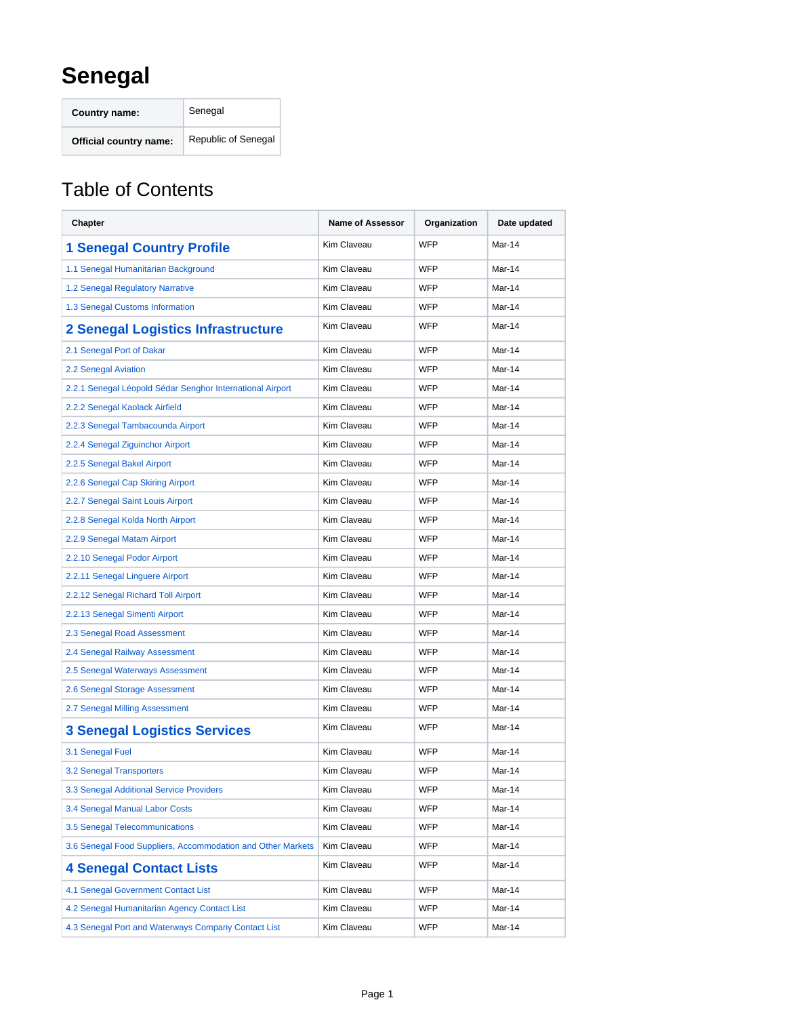## **Senegal**

**Country name:** Senegal **Official country name:** Republic of Senegal

## Table of Contents

| Chapter                                                     | <b>Name of Assessor</b> | Organization | Date updated |
|-------------------------------------------------------------|-------------------------|--------------|--------------|
| <b>1 Senegal Country Profile</b>                            | Kim Claveau             | <b>WFP</b>   | Mar-14       |
| 1.1 Senegal Humanitarian Background                         | Kim Claveau             | <b>WFP</b>   | Mar-14       |
| 1.2 Senegal Regulatory Narrative                            | Kim Claveau             | <b>WFP</b>   | Mar-14       |
| 1.3 Senegal Customs Information                             | <b>Kim Claveau</b>      | <b>WFP</b>   | Mar-14       |
| 2 Senegal Logistics Infrastructure                          | Kim Claveau             | <b>WFP</b>   | Mar-14       |
| 2.1 Senegal Port of Dakar                                   | Kim Claveau             | <b>WFP</b>   | Mar-14       |
| 2.2 Senegal Aviation                                        | Kim Claveau             | <b>WFP</b>   | Mar-14       |
| 2.2.1 Senegal Léopold Sédar Senghor International Airport   | <b>Kim Claveau</b>      | <b>WFP</b>   | Mar-14       |
| 2.2.2 Senegal Kaolack Airfield                              | <b>Kim Claveau</b>      | <b>WFP</b>   | Mar-14       |
| 2.2.3 Senegal Tambacounda Airport                           | Kim Claveau             | <b>WFP</b>   | Mar-14       |
| 2.2.4 Senegal Ziguinchor Airport                            | Kim Claveau             | <b>WFP</b>   | Mar-14       |
| 2.2.5 Senegal Bakel Airport                                 | <b>Kim Claveau</b>      | <b>WFP</b>   | Mar-14       |
| 2.2.6 Senegal Cap Skiring Airport                           | <b>Kim Claveau</b>      | <b>WFP</b>   | Mar-14       |
| 2.2.7 Senegal Saint Louis Airport                           | Kim Claveau             | <b>WFP</b>   | Mar-14       |
| 2.2.8 Senegal Kolda North Airport                           | Kim Claveau             | <b>WFP</b>   | Mar-14       |
| 2.2.9 Senegal Matam Airport                                 | Kim Claveau             | <b>WFP</b>   | Mar-14       |
| 2.2.10 Senegal Podor Airport                                | <b>Kim Claveau</b>      | <b>WFP</b>   | Mar-14       |
| 2.2.11 Senegal Linguere Airport                             | <b>Kim Claveau</b>      | <b>WFP</b>   | Mar-14       |
| 2.2.12 Senegal Richard Toll Airport                         | Kim Claveau             | <b>WFP</b>   | Mar-14       |
| 2.2.13 Senegal Simenti Airport                              | Kim Claveau             | <b>WFP</b>   | Mar-14       |
| 2.3 Senegal Road Assessment                                 | <b>Kim Claveau</b>      | <b>WFP</b>   | Mar-14       |
| 2.4 Senegal Railway Assessment                              | Kim Claveau             | WFP          | Mar-14       |
| 2.5 Senegal Waterways Assessment                            | Kim Claveau             | <b>WFP</b>   | Mar-14       |
| 2.6 Senegal Storage Assessment                              | Kim Claveau             | WFP          | Mar-14       |
| 2.7 Senegal Milling Assessment                              | <b>Kim Claveau</b>      | <b>WFP</b>   | Mar-14       |
| <b>3 Senegal Logistics Services</b>                         | Kim Claveau             | WFP          | Mar-14       |
| 3.1 Senegal Fuel                                            | Kim Claveau             | <b>WFP</b>   | Mar-14       |
| 3.2 Senegal Transporters                                    | <b>Kim Claveau</b>      | <b>WFP</b>   | Mar-14       |
| 3.3 Senegal Additional Service Providers                    | Kim Claveau             | WFP          | Mar-14       |
| 3.4 Senegal Manual Labor Costs                              | Kim Claveau             | WFP          | Mar-14       |
| 3.5 Senegal Telecommunications                              | Kim Claveau             | <b>WFP</b>   | Mar-14       |
| 3.6 Senegal Food Suppliers, Accommodation and Other Markets | Kim Claveau             | WFP          | Mar-14       |
| <b>4 Senegal Contact Lists</b>                              | Kim Claveau             | WFP          | Mar-14       |
| 4.1 Senegal Government Contact List                         | Kim Claveau             | <b>WFP</b>   | Mar-14       |
| 4.2 Senegal Humanitarian Agency Contact List                | Kim Claveau             | WFP          | Mar-14       |
| 4.3 Senegal Port and Waterways Company Contact List         | Kim Claveau             | WFP          | Mar-14       |